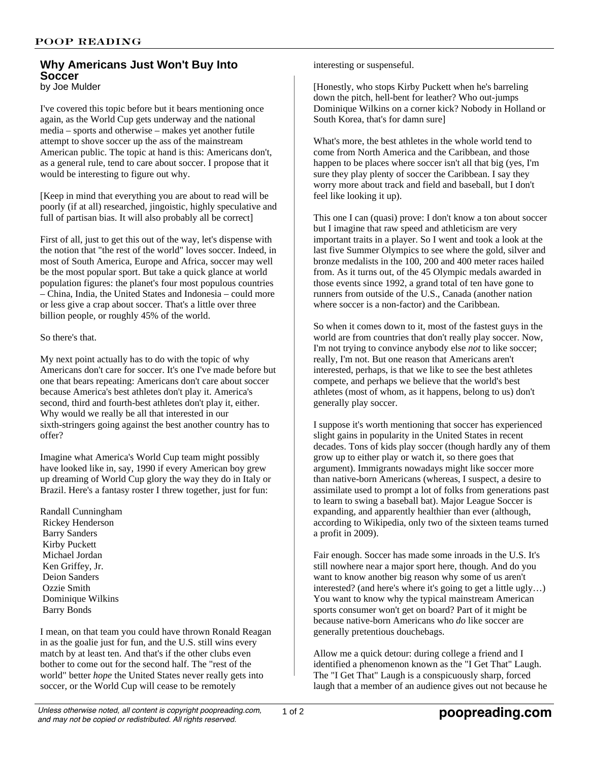## **Why Americans Just Won't Buy Into Soccer** by Joe Mulder

I've covered this topic before but it bears mentioning once again, as the World Cup gets underway and the national media – sports and otherwise – makes yet another futile attempt to shove soccer up the ass of the mainstream American public. The topic at hand is this: Americans don't, as a general rule, tend to care about soccer. I propose that it would be interesting to figure out why.

[Keep in mind that everything you are about to read will be poorly (if at all) researched, jingoistic, highly speculative and full of partisan bias. It will also probably all be correct]

First of all, just to get this out of the way, let's dispense with the notion that "the rest of the world" loves soccer. Indeed, in most of South America, Europe and Africa, soccer may well be the most popular sport. But take a quick glance at world population figures: the planet's four most populous countries – China, India, the United States and Indonesia – could more or less give a crap about soccer. That's a little over three billion people, or roughly 45% of the world.

## So there's that.

My next point actually has to do with the topic of why Americans don't care for soccer. It's one I've made before but one that bears repeating: Americans don't care about soccer because America's best athletes don't play it. America's second, third and fourth-best athletes don't play it, either. Why would we really be all that interested in our sixth-stringers going against the best another country has to offer?

Imagine what America's World Cup team might possibly have looked like in, say, 1990 if every American boy grew up dreaming of World Cup glory the way they do in Italy or Brazil. Here's a fantasy roster I threw together, just for fun:

Randall Cunningham Rickey Henderson Barry Sanders Kirby Puckett Michael Jordan Ken Griffey, Jr. Deion Sanders Ozzie Smith Dominique Wilkins Barry Bonds

I mean, on that team you could have thrown Ronald Reagan in as the goalie just for fun, and the U.S. still wins every match by at least ten. And that's if the other clubs even bother to come out for the second half. The "rest of the world" better *hope* the United States never really gets into soccer, or the World Cup will cease to be remotely

interesting or suspenseful.

[Honestly, who stops Kirby Puckett when he's barreling down the pitch, hell-bent for leather? Who out-jumps Dominique Wilkins on a corner kick? Nobody in Holland or South Korea, that's for damn sure]

What's more, the best athletes in the whole world tend to come from North America and the Caribbean, and those happen to be places where soccer isn't all that big (yes, I'm sure they play plenty of soccer the Caribbean. I say they worry more about track and field and baseball, but I don't feel like looking it up).

This one I can (quasi) prove: I don't know a ton about soccer but I imagine that raw speed and athleticism are very important traits in a player. So I went and took a look at the last five Summer Olympics to see where the gold, silver and bronze medalists in the 100, 200 and 400 meter races hailed from. As it turns out, of the 45 Olympic medals awarded in those events since 1992, a grand total of ten have gone to runners from outside of the U.S., Canada (another nation where soccer is a non-factor) and the Caribbean.

So when it comes down to it, most of the fastest guys in the world are from countries that don't really play soccer. Now, I'm not trying to convince anybody else *not* to like soccer; really, I'm not. But one reason that Americans aren't interested, perhaps, is that we like to see the best athletes compete, and perhaps we believe that the world's best athletes (most of whom, as it happens, belong to us) don't generally play soccer.

I suppose it's worth mentioning that soccer has experienced slight gains in popularity in the United States in recent decades. Tons of kids play soccer (though hardly any of them grow up to either play or watch it, so there goes that argument). Immigrants nowadays might like soccer more than native-born Americans (whereas, I suspect, a desire to assimilate used to prompt a lot of folks from generations past to learn to swing a baseball bat). Major League Soccer is expanding, and apparently healthier than ever (although, according to Wikipedia, only two of the sixteen teams turned a profit in 2009).

Fair enough. Soccer has made some inroads in the U.S. It's still nowhere near a major sport here, though. And do you want to know another big reason why some of us aren't interested? (and here's where it's going to get a little ugly…) You want to know why the typical mainstream American sports consumer won't get on board? Part of it might be because native-born Americans who *do* like soccer are generally pretentious douchebags.

Allow me a quick detour: during college a friend and I identified a phenomenon known as the "I Get That" Laugh. The "I Get That" Laugh is a conspicuously sharp, forced laugh that a member of an audience gives out not because he